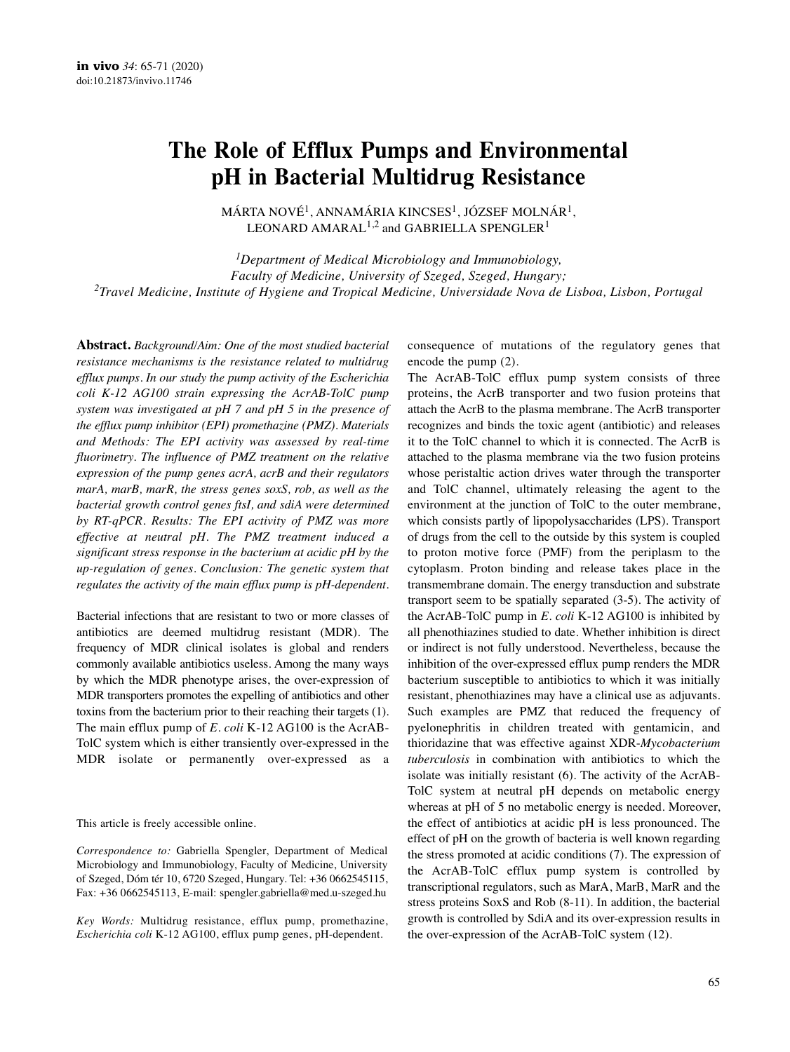# **The Role of Efflux Pumps and Environmental pH in Bacterial Multidrug Resistance**

MÁRTA NOVÉ<sup>1</sup>, ANNAMÁRIA KINCSES<sup>1</sup>, JÓZSEF MOLNÁR<sup>1</sup>, LEONARD AMARAL<sup>1,2</sup> and GABRIELLA SPENGLER<sup>1</sup>

*1Department of Medical Microbiology and Immunobiology, Faculty of Medicine, University of Szeged, Szeged, Hungary; 2Travel Medicine, Institute of Hygiene and Tropical Medicine, Universidade Nova de Lisboa, Lisbon, Portugal*

**Abstract.** *Background/Aim: One of the most studied bacterial resistance mechanisms is the resistance related to multidrug efflux pumps. In our study the pump activity of the Escherichia coli K-12 AG100 strain expressing the AcrAB-TolC pump system was investigated at pH 7 and pH 5 in the presence of the efflux pump inhibitor (EPI) promethazine (PMZ). Materials and Methods: The EPI activity was assessed by real-time fluorimetry. The influence of PMZ treatment on the relative expression of the pump genes acrA, acrB and their regulators marA, marB, marR, the stress genes soxS, rob, as well as the bacterial growth control genes ftsI, and sdiA were determined by RT-qPCR. Results: The EPI activity of PMZ was more effective at neutral pH. The PMZ treatment induced a significant stress response in the bacterium at acidic pH by the up-regulation of genes. Conclusion: The genetic system that regulates the activity of the main efflux pump is pH-dependent.*

Bacterial infections that are resistant to two or more classes of antibiotics are deemed multidrug resistant (MDR). The frequency of MDR clinical isolates is global and renders commonly available antibiotics useless. Among the many ways by which the MDR phenotype arises, the over-expression of MDR transporters promotes the expelling of antibiotics and other toxins from the bacterium prior to their reaching their targets (1). The main efflux pump of *E. coli* K-12 AG100 is the AcrAB-TolC system which is either transiently over-expressed in the MDR isolate or permanently over-expressed as a

This article is freely accessible online.

*Correspondence to:* Gabriella Spengler, Department of Medical Microbiology and Immunobiology, Faculty of Medicine, University of Szeged, Dóm tér 10, 6720 Szeged, Hungary. Tel: +36 0662545115, Fax: +36 0662545113, E-mail: spengler.gabriella@med.u-szeged.hu

*Key Words:* Multidrug resistance, efflux pump, promethazine, *Escherichia coli* K-12 AG100, efflux pump genes, pH-dependent.

consequence of mutations of the regulatory genes that encode the pump (2).

The AcrAB-TolC efflux pump system consists of three proteins, the AcrB transporter and two fusion proteins that attach the AcrB to the plasma membrane. The AcrB transporter recognizes and binds the toxic agent (antibiotic) and releases it to the TolC channel to which it is connected. The AcrB is attached to the plasma membrane via the two fusion proteins whose peristaltic action drives water through the transporter and TolC channel, ultimately releasing the agent to the environment at the junction of TolC to the outer membrane, which consists partly of lipopolysaccharides (LPS). Transport of drugs from the cell to the outside by this system is coupled to proton motive force (PMF) from the periplasm to the cytoplasm. Proton binding and release takes place in the transmembrane domain. The energy transduction and substrate transport seem to be spatially separated (3-5). The activity of the AcrAB-TolC pump in *E. coli* K-12 AG100 is inhibited by all phenothiazines studied to date. Whether inhibition is direct or indirect is not fully understood. Nevertheless, because the inhibition of the over-expressed efflux pump renders the MDR bacterium susceptible to antibiotics to which it was initially resistant, phenothiazines may have a clinical use as adjuvants. Such examples are PMZ that reduced the frequency of pyelonephritis in children treated with gentamicin, and thioridazine that was effective against XDR-*Mycobacterium tuberculosis* in combination with antibiotics to which the isolate was initially resistant (6). The activity of the AcrAB-TolC system at neutral pH depends on metabolic energy whereas at pH of 5 no metabolic energy is needed. Moreover, the effect of antibiotics at acidic pH is less pronounced. The effect of pH on the growth of bacteria is well known regarding the stress promoted at acidic conditions (7). The expression of the AcrAB-TolC efflux pump system is controlled by transcriptional regulators, such as MarA, MarB, MarR and the stress proteins SoxS and Rob (8-11). In addition, the bacterial growth is controlled by SdiA and its over-expression results in the over-expression of the AcrAB-TolC system (12).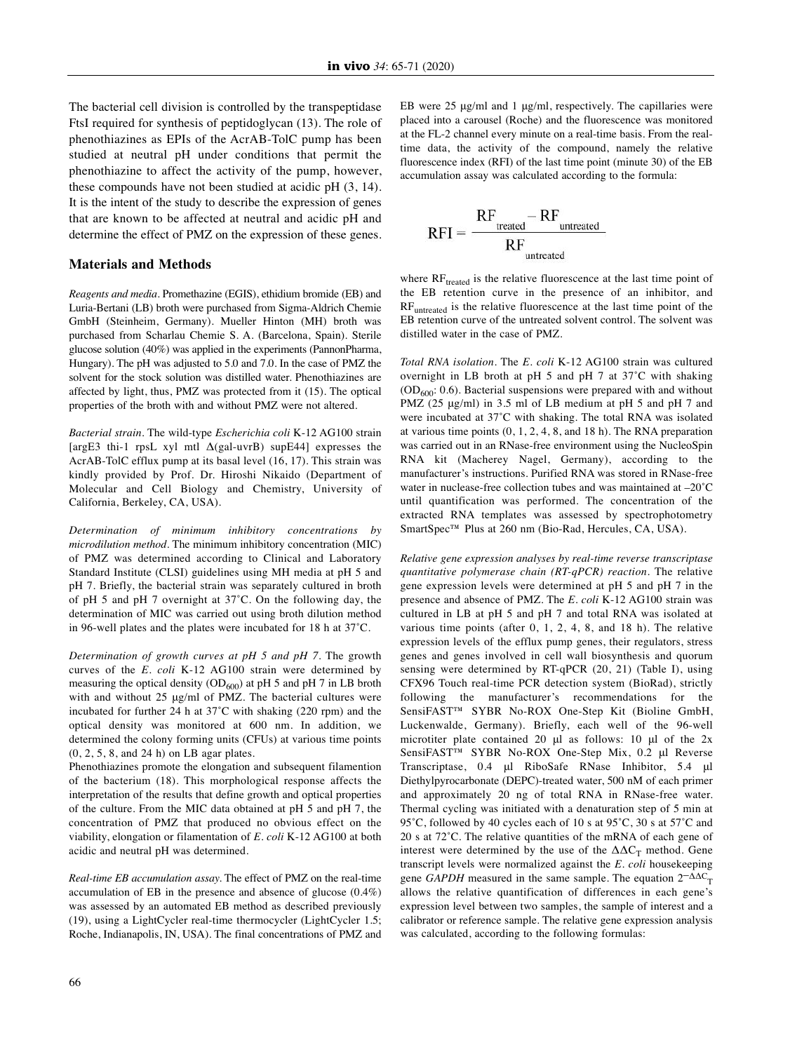The bacterial cell division is controlled by the transpeptidase FtsI required for synthesis of peptidoglycan (13). The role of phenothiazines as EPIs of the AcrAB-TolC pump has been studied at neutral pH under conditions that permit the phenothiazine to affect the activity of the pump, however, these compounds have not been studied at acidic pH (3, 14). It is the intent of the study to describe the expression of genes that are known to be affected at neutral and acidic pH and determine the effect of PMZ on the expression of these genes.

## **Materials and Methods**

*Reagents and media.* Promethazine (EGIS), ethidium bromide (EB) and Luria-Bertani (LB) broth were purchased from Sigma-Aldrich Chemie GmbH (Steinheim, Germany). Mueller Hinton (MH) broth was purchased from Scharlau Chemie S. A. (Barcelona, Spain). Sterile glucose solution (40%) was applied in the experiments (PannonPharma, Hungary). The pH was adjusted to 5.0 and 7.0. In the case of PMZ the solvent for the stock solution was distilled water. Phenothiazines are affected by light, thus, PMZ was protected from it (15). The optical properties of the broth with and without PMZ were not altered.

*Bacterial strain*. The wild-type *Escherichia coli* K-12 AG100 strain [argE3 thi-1 rpsL xyl mtl  $\Delta$ (gal-uvrB) supE44] expresses the AcrAB-TolC efflux pump at its basal level (16, 17). This strain was kindly provided by Prof. Dr. Hiroshi Nikaido (Department of Molecular and Cell Biology and Chemistry, University of California, Berkeley, CA, USA).

*Determination of minimum inhibitory concentrations by microdilution method.* The minimum inhibitory concentration (MIC) of PMZ was determined according to Clinical and Laboratory Standard Institute (CLSI) guidelines using MH media at pH 5 and pH 7. Briefly, the bacterial strain was separately cultured in broth of pH 5 and pH 7 overnight at 37˚C. On the following day, the determination of MIC was carried out using broth dilution method in 96-well plates and the plates were incubated for 18 h at 37˚C.

*Determination of growth curves at pH 5 and pH 7*. The growth curves of the *E. coli* K-12 AG100 strain were determined by measuring the optical density  $(OD_{600})$  at pH 5 and pH 7 in LB broth with and without 25 μg/ml of PMZ. The bacterial cultures were incubated for further 24 h at 37˚C with shaking (220 rpm) and the optical density was monitored at 600 nm. In addition, we determined the colony forming units (CFUs) at various time points (0, 2, 5, 8, and 24 h) on LB agar plates.

Phenothiazines promote the elongation and subsequent filamention of the bacterium (18). This morphological response affects the interpretation of the results that define growth and optical properties of the culture. From the MIC data obtained at pH 5 and pH 7, the concentration of PMZ that produced no obvious effect on the viability, elongation or filamentation of *E. coli* K-12 AG100 at both acidic and neutral pH was determined.

*Real-time EB accumulation assay.* The effect of PMZ on the real-time accumulation of EB in the presence and absence of glucose (0.4%) was assessed by an automated EB method as described previously (19), using a LightCycler real-time thermocycler (LightCycler 1.5; Roche, Indianapolis, IN, USA). The final concentrations of PMZ and EB were 25 μg/ml and 1 μg/ml, respectively. The capillaries were placed into a carousel (Roche) and the fluorescence was monitored at the FL-2 channel every minute on a real-time basis. From the realtime data, the activity of the compound, namely the relative fluorescence index (RFI) of the last time point (minute 30) of the EB accumulation assay was calculated according to the formula:

$$
RFI = \frac{RF_{treated} - RF_{untreated}}{RF_{untreated}}
$$

where RF<sub>treated</sub> is the relative fluorescence at the last time point of the EB retention curve in the presence of an inhibitor, and RFuntreated is the relative fluorescence at the last time point of the EB retention curve of the untreated solvent control. The solvent was distilled water in the case of PMZ.

*Total RNA isolation*. The *E. coli* K-12 AG100 strain was cultured overnight in LB broth at pH 5 and pH 7 at 37˚C with shaking  $(OD<sub>600</sub>: 0.6)$ . Bacterial suspensions were prepared with and without PMZ (25 μg/ml) in 3.5 ml of LB medium at pH 5 and pH 7 and were incubated at 37˚C with shaking. The total RNA was isolated at various time points  $(0, 1, 2, 4, 8, \text{ and } 18 \text{ h})$ . The RNA preparation was carried out in an RNase-free environment using the NucleoSpin RNA kit (Macherey Nagel, Germany), according to the manufacturer's instructions. Purified RNA was stored in RNase-free water in nuclease-free collection tubes and was maintained at –20˚C until quantification was performed. The concentration of the extracted RNA templates was assessed by spectrophotometry SmartSpec™ Plus at 260 nm (Bio-Rad, Hercules, CA, USA).

*Relative gene expression analyses by real-time reverse transcriptase quantitative polymerase chain (RT-qPCR) reaction.* The relative gene expression levels were determined at pH 5 and pH 7 in the presence and absence of PMZ. The *E. coli* K-12 AG100 strain was cultured in LB at pH 5 and pH 7 and total RNA was isolated at various time points (after 0, 1, 2, 4, 8, and 18 h). The relative expression levels of the efflux pump genes, their regulators, stress genes and genes involved in cell wall biosynthesis and quorum sensing were determined by RT-qPCR (20, 21) (Table I), using CFX96 Touch real-time PCR detection system (BioRad), strictly following the manufacturer's recommendations for the SensiFAST™ SYBR No-ROX One-Step Kit (Bioline GmbH, Luckenwalde, Germany). Briefly, each well of the 96-well microtiter plate contained 20 μl as follows: 10 μl of the 2x SensiFAST™ SYBR No-ROX One-Step Mix, 0.2 μl Reverse Transcriptase, 0.4 μl RiboSafe RNase Inhibitor, 5.4 μl Diethylpyrocarbonate (DEPC)-treated water, 500 nM of each primer and approximately 20 ng of total RNA in RNase-free water. Thermal cycling was initiated with a denaturation step of 5 min at 95˚C, followed by 40 cycles each of 10 s at 95˚C, 30 s at 57˚C and 20 s at 72˚C. The relative quantities of the mRNA of each gene of interest were determined by the use of the  $\Delta \Delta C_T$  method. Gene transcript levels were normalized against the *E. coli* housekeeping gene *GAPDH* measured in the same sample. The equation  $2^{-\Delta\Delta C}$ <sub>T</sub> allows the relative quantification of differences in each gene's expression level between two samples, the sample of interest and a calibrator or reference sample. The relative gene expression analysis was calculated, according to the following formulas: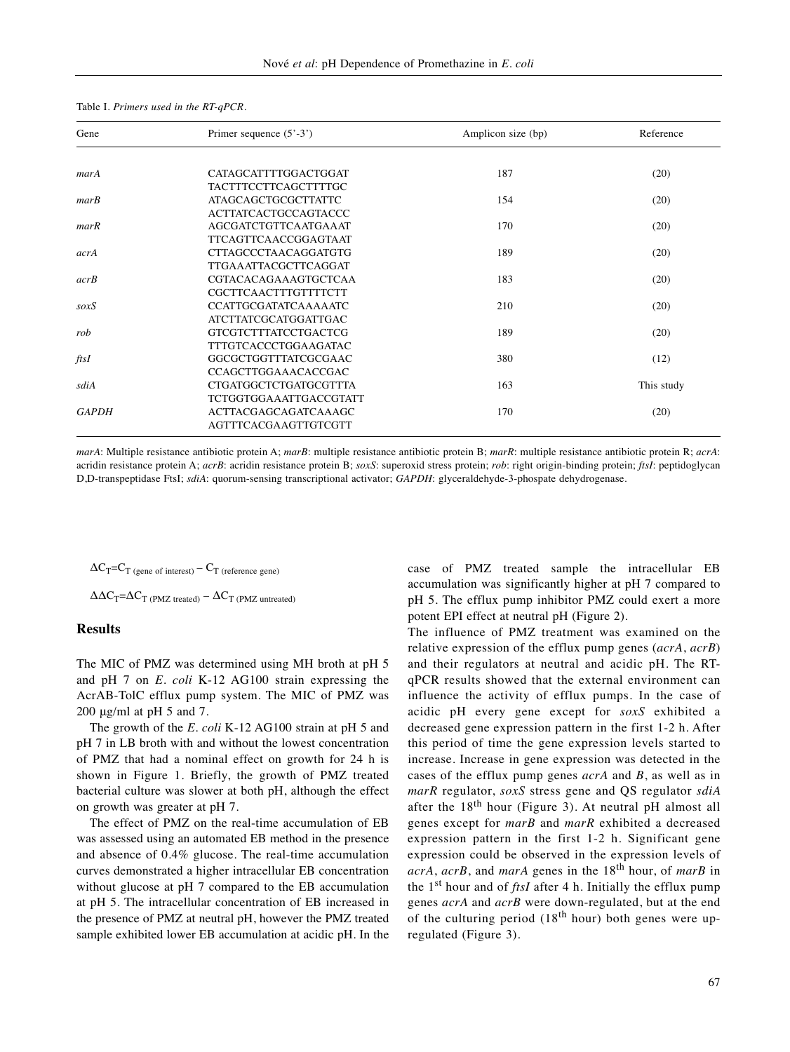| Gene         | Primer sequence $(5^{\circ} - 3^{\circ})$ | Amplicon size (bp) | Reference  |
|--------------|-------------------------------------------|--------------------|------------|
|              |                                           |                    |            |
| marA         | CATAGCATTTTGGACTGGAT                      | 187                | (20)       |
|              | <b>TACTTTCCTTCAGCTTTTGC</b>               |                    |            |
| mark         | <b>ATAGCAGCTGCGCTTATTC</b>                | 154                | (20)       |
|              | <b>ACTTATCACTGCCAGTACCC</b>               |                    |            |
| marR         | AGCGATCTGTTCAATGAAAT                      | 170                | (20)       |
|              | <b>TTCAGTTCAACCGGAGTAAT</b>               |                    |            |
| acrA         | <b>CTTAGCCCTAACAGGATGTG</b>               | 189                | (20)       |
|              | <b>TTGAAATTACGCTTCAGGAT</b>               |                    |            |
| acrB         | CGTACACAGAAAGTGCTCAA                      | 183                | (20)       |
|              | CGCTTCAACTTTGTTTTCTT                      |                    |            |
| soxS         | <b>CCATTGCGATATCAAAAATC</b>               | 210                | (20)       |
|              | <b>ATCTTATCGCATGGATTGAC</b>               |                    |            |
| rob          | <b>GTCGTCTTTATCCTGACTCG</b>               | 189                | (20)       |
|              | <b>TTTGTCACCCTGGAAGATAC</b>               |                    |            |
| ftsI         | GGCGCTGGTTTATCGCGAAC                      | 380                | (12)       |
|              | CCAGCTTGGAAACACCGAC                       |                    |            |
| sdiA         | <b>CTGATGGCTCTGATGCGTTTA</b>              | 163                | This study |
|              | <b>TCTGGTGGAAATTGACCGTATT</b>             |                    |            |
| <b>GAPDH</b> | <b>ACTTACGAGCAGATCAAAGC</b>               | 170                | (20)       |
|              | AGTTTCACGAAGTTGTCGTT                      |                    |            |

#### Table I. *Primers used in the RT-qPCR.*

*marA*: Multiple resistance antibiotic protein A; *marB*: multiple resistance antibiotic protein B; *marR*: multiple resistance antibiotic protein R; *acrA*: acridin resistance protein A; *acrB*: acridin resistance protein B; *soxS*: superoxid stress protein; *rob*: right origin-binding protein; *ftsI*: peptidoglycan D,D-transpeptidase FtsI; *sdiA*: quorum-sensing transcriptional activator; *GAPDH*: glyceraldehyde-3-phospate dehydrogenase.

 $\Delta C_T = C_T$  (gene of interest) –  $C_T$  (reference gene)

 $\Delta \Delta C_T = \Delta C_T$  (PMZ treated) –  $\Delta C_T$  (PMZ untreated)

## **Results**

The MIC of PMZ was determined using MH broth at pH 5 and pH 7 on *E. coli* K-12 AG100 strain expressing the AcrAB-TolC efflux pump system. The MIC of PMZ was 200 μg/ml at pH 5 and 7.

The growth of the *E. coli* K-12 AG100 strain at pH 5 and pH 7 in LB broth with and without the lowest concentration of PMZ that had a nominal effect on growth for 24 h is shown in Figure 1. Briefly, the growth of PMZ treated bacterial culture was slower at both pH, although the effect on growth was greater at pH 7.

The effect of PMZ on the real-time accumulation of EB was assessed using an automated EB method in the presence and absence of 0.4% glucose. The real-time accumulation curves demonstrated a higher intracellular EB concentration without glucose at pH 7 compared to the EB accumulation at pH 5. The intracellular concentration of EB increased in the presence of PMZ at neutral pH, however the PMZ treated sample exhibited lower EB accumulation at acidic pH. In the case of PMZ treated sample the intracellular EB accumulation was significantly higher at pH 7 compared to pH 5. The efflux pump inhibitor PMZ could exert a more potent EPI effect at neutral pH (Figure 2).

The influence of PMZ treatment was examined on the relative expression of the efflux pump genes (*acrA*, *acrB*) and their regulators at neutral and acidic pH. The RTqPCR results showed that the external environment can influence the activity of efflux pumps. In the case of acidic pH every gene except for *soxS* exhibited a decreased gene expression pattern in the first 1-2 h. After this period of time the gene expression levels started to increase. Increase in gene expression was detected in the cases of the efflux pump genes *acrA* and *B*, as well as in *marR* regulator, *soxS* stress gene and QS regulator *sdiA* after the  $18<sup>th</sup>$  hour (Figure 3). At neutral pH almost all genes except for *marB* and *marR* exhibited a decreased expression pattern in the first 1-2 h. Significant gene expression could be observed in the expression levels of *acrA*, *acrB*, and *marA* genes in the 18th hour, of *marB* in the 1st hour and of *ftsI* after 4 h*.* Initially the efflux pump genes *acrA* and *acrB* were down-regulated, but at the end of the culturing period  $(18<sup>th</sup> hour)$  both genes were upregulated (Figure 3).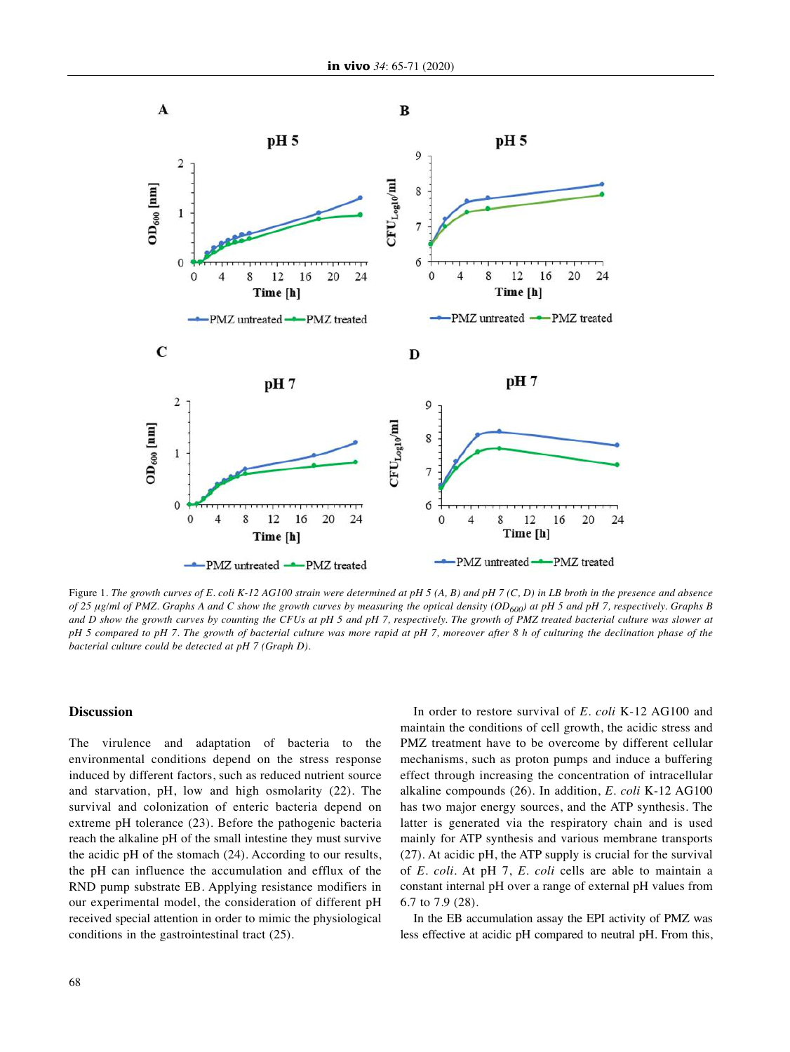

Figure 1. The growth curves of E. coli K-12 AG100 strain were determined at pH 5 (A, B) and pH 7 (C, D) in LB broth in the presence and absence of 25 µg/ml of PMZ. Graphs A and C show the growth curves by measuring the optical density (OD<sub>600</sub>) at pH 5 and pH 7, respectively. Graphs B and D show the growth curves by counting the CFUs at pH 5 and pH 7, respectively. The growth of PMZ treated bacterial culture was slower at pH 5 compared to pH 7. The growth of bacterial culture was more rapid at pH 7, moreover after 8 h of culturing the declination phase of the *bacterial culture could be detected at pH 7 (Graph D).*

#### **Discussion**

The virulence and adaptation of bacteria to the environmental conditions depend on the stress response induced by different factors, such as reduced nutrient source and starvation, pH, low and high osmolarity (22). The survival and colonization of enteric bacteria depend on extreme pH tolerance (23). Before the pathogenic bacteria reach the alkaline pH of the small intestine they must survive the acidic pH of the stomach (24). According to our results, the pH can influence the accumulation and efflux of the RND pump substrate EB. Applying resistance modifiers in our experimental model, the consideration of different pH received special attention in order to mimic the physiological conditions in the gastrointestinal tract (25).

In order to restore survival of *E. coli* K-12 AG100 and maintain the conditions of cell growth, the acidic stress and PMZ treatment have to be overcome by different cellular mechanisms, such as proton pumps and induce a buffering effect through increasing the concentration of intracellular alkaline compounds (26). In addition, *E. coli* K-12 AG100 has two major energy sources, and the ATP synthesis. The latter is generated via the respiratory chain and is used mainly for ATP synthesis and various membrane transports (27). At acidic pH, the ATP supply is crucial for the survival of *E. coli*. At pH 7, *E. coli* cells are able to maintain a constant internal pH over a range of external pH values from 6.7 to 7.9 (28).

In the EB accumulation assay the EPI activity of PMZ was less effective at acidic pH compared to neutral pH. From this,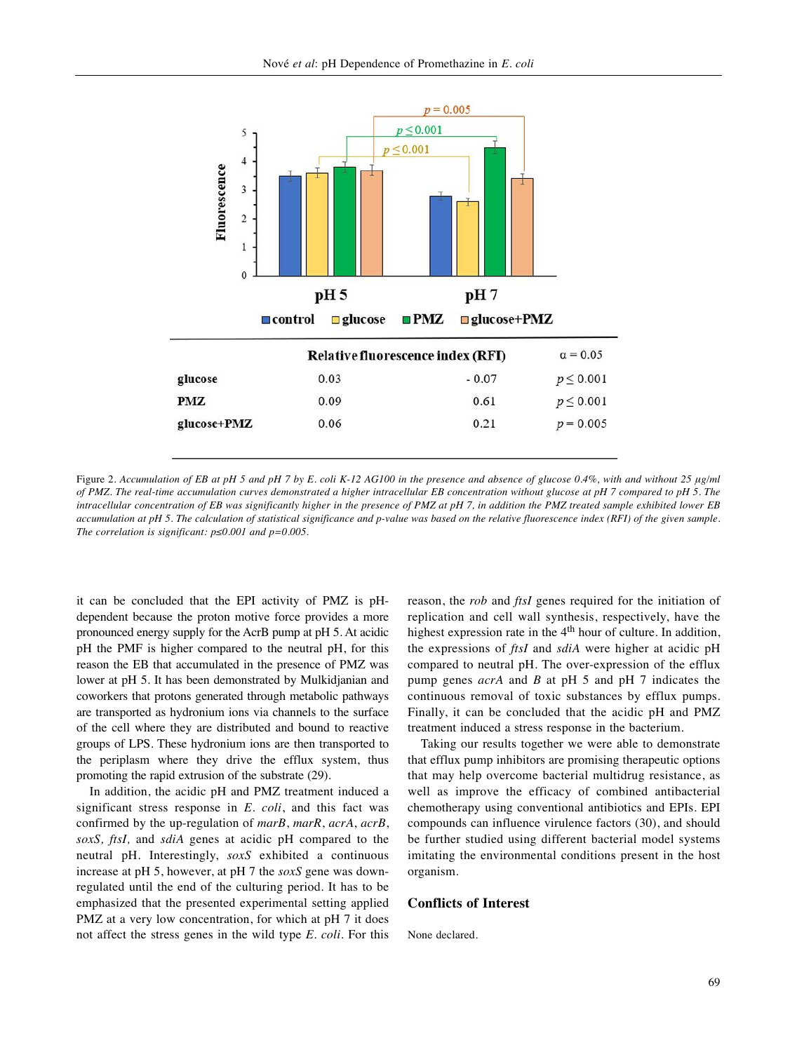

Figure 2. Accumulation of EB at pH 5 and pH 7 by E. coli K-12 AG100 in the presence and absence of glucose 0.4%, with and without 25 µg/ml of PMZ. The real-time accumulation curves demonstrated a higher intracellular EB concentration without glucose at pH 7 compared to pH 5. The intracellular concentration of EB was significantly higher in the presence of PMZ at pH 7, in addition the PMZ treated sample exhibited lower EB accumulation at pH 5. The calculation of statistical significance and p-value was based on the relative fluorescence index (RFI) of the given sample. *The correlation is significant: p≤0.001 and p=0.005.*

it can be concluded that the EPI activity of PMZ is pHdependent because the proton motive force provides a more pronounced energy supply for the AcrB pump at pH 5. At acidic pH the PMF is higher compared to the neutral pH, for this reason the EB that accumulated in the presence of PMZ was lower at pH 5. It has been demonstrated by Mulkidjanian and coworkers that protons generated through metabolic pathways are transported as hydronium ions via channels to the surface of the cell where they are distributed and bound to reactive groups of LPS. These hydronium ions are then transported to the periplasm where they drive the efflux system, thus promoting the rapid extrusion of the substrate (29).

In addition, the acidic pH and PMZ treatment induced a significant stress response in *E. coli*, and this fact was confirmed by the up-regulation of *marB*, *marR*, *acrA*, *acrB*, *soxS, ftsI,* and *sdiA* genes at acidic pH compared to the neutral pH. Interestingly, *soxS* exhibited a continuous increase at pH 5, however, at pH 7 the *soxS* gene was downregulated until the end of the culturing period. It has to be emphasized that the presented experimental setting applied PMZ at a very low concentration, for which at pH 7 it does not affect the stress genes in the wild type *E. coli*. For this

reason, the *rob* and *ftsI* genes required for the initiation of replication and cell wall synthesis, respectively, have the highest expression rate in the 4<sup>th</sup> hour of culture. In addition, the expressions of *ftsI* and *sdiA* were higher at acidic pH compared to neutral pH. The over-expression of the efflux pump genes *acrA* and *B* at pH 5 and pH 7 indicates the continuous removal of toxic substances by efflux pumps. Finally, it can be concluded that the acidic pH and PMZ treatment induced a stress response in the bacterium.

Taking our results together we were able to demonstrate that efflux pump inhibitors are promising therapeutic options that may help overcome bacterial multidrug resistance, as well as improve the efficacy of combined antibacterial chemotherapy using conventional antibiotics and EPIs. EPI compounds can influence virulence factors (30), and should be further studied using different bacterial model systems imitating the environmental conditions present in the host organism.

#### **Conflicts of Interest**

None declared.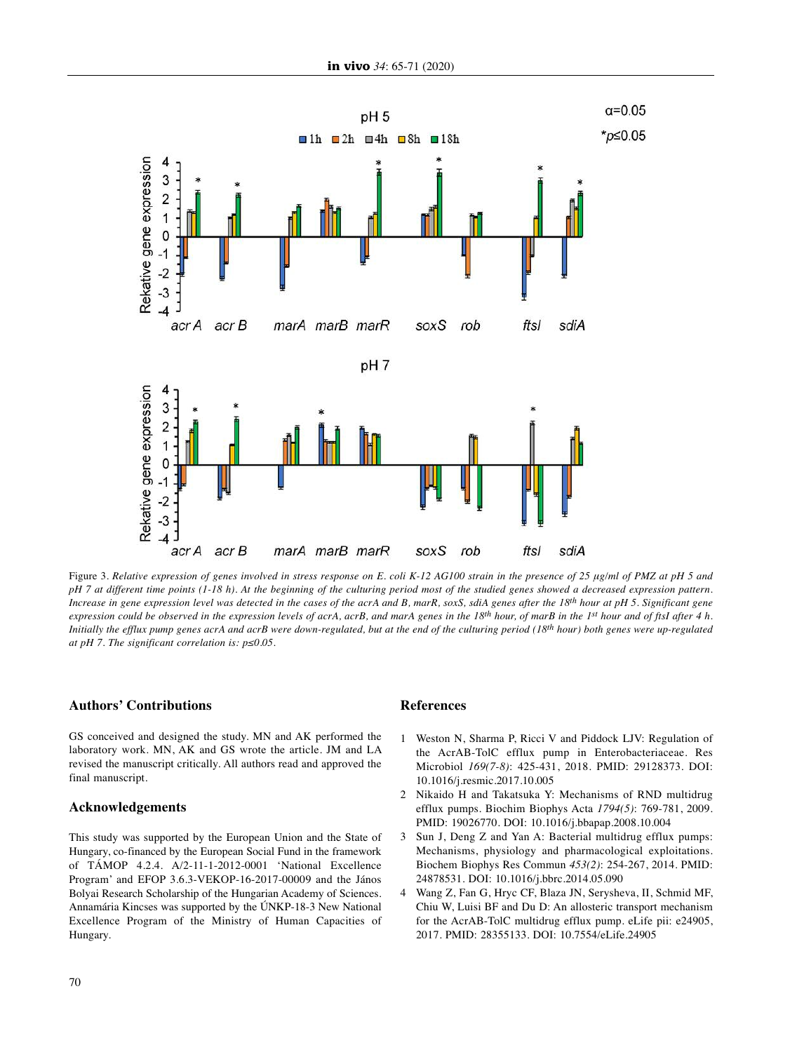

Figure 3. Relative expression of genes involved in stress response on E. coli K-12 AG100 strain in the presence of 25 µg/ml of PMZ at pH 5 and pH 7 at different time points (1-18 h). At the beginning of the culturing period most of the studied genes showed a decreased expression pattern. Increase in gene expression level was detected in the cases of the acrA and B, marR, soxS, sdiA genes after the 18th hour at pH 5. Significant gene expression could be observed in the expression levels of acrA, acrB, and marA genes in the 18<sup>th</sup> hour, of marB in the 1<sup>st</sup> hour and of ftsI after 4 h. Initially the efflux pump genes acrA and acrB were down-regulated, but at the end of the culturing period (18<sup>th</sup> hour) both genes were up-regulated *at pH 7. The significant correlation is: p≤0.05.*

## **Authors' Contributions**

GS conceived and designed the study. MN and AK performed the laboratory work. MN, AK and GS wrote the article. JM and LA revised the manuscript critically. All authors read and approved the final manuscript.

### **Acknowledgements**

This study was supported by the European Union and the State of Hungary, co-financed by the European Social Fund in the framework of TÁMOP 4.2.4. A/2-11-1-2012-0001 'National Excellence Program' and EFOP 3.6.3-VEKOP-16-2017-00009 and the János Bolyai Research Scholarship of the Hungarian Academy of Sciences. Annamária Kincses was supported by the ÚNKP-18-3 New National Excellence Program of the Ministry of Human Capacities of Hungary.

## **References**

- 1 Weston N, Sharma P, Ricci V and Piddock LJV: Regulation of the AcrAB-TolC efflux pump in Enterobacteriaceae. Res Microbiol *169(7-8)*: 425-431, 2018. PMID: 29128373. DOI: 10.1016/j.resmic.2017.10.005
- 2 Nikaido H and Takatsuka Y: Mechanisms of RND multidrug efflux pumps. Biochim Biophys Acta *1794(5)*: 769-781, 2009. PMID: 19026770. DOI: 10.1016/j.bbapap.2008.10.004
- 3 Sun J, Deng Z and Yan A: Bacterial multidrug efflux pumps: Mechanisms, physiology and pharmacological exploitations. Biochem Biophys Res Commun *453(2)*: 254-267, 2014. PMID: 24878531. DOI: 10.1016/j.bbrc.2014.05.090
- 4 Wang Z, Fan G, Hryc CF, Blaza JN, Serysheva, II, Schmid MF, Chiu W, Luisi BF and Du D: An allosteric transport mechanism for the AcrAB-TolC multidrug efflux pump. eLife pii: e24905, 2017. PMID: 28355133. DOI: 10.7554/eLife.24905